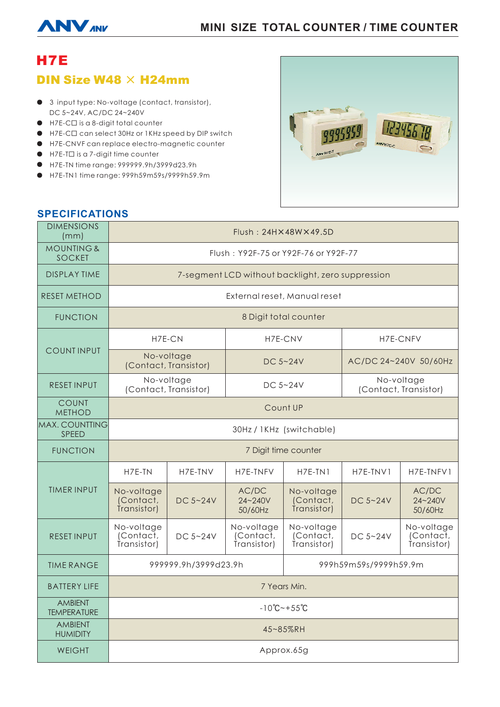# **MINI SIZE TOTAL COUNTER / TIME COUNTER**



# H7E **DIN Size W48**  $\times$  **H24mm**

- 3 input type: No-voltage (contact, transistor), DC 5~24V, AC/DC 24~240V
- H7E-C□ is a 8-digit total counter
- H7E-C□ can select 30Hz or 1KHz speed by DIP switch
- H7E-CNVF can replace electro-magnetic counter
- H7E-T□ is a 7-digit time counter
- H7E-TN time range: 999999.9h/3999d23.9h
- H7E-TN1 time range: 999h59m59s/9999h59.9m



## **SPECIFICATIONS**

| <b>DIMENSIONS</b><br>(mm)              | $Flush: 24H \times 48W \times 49.5D$              |          |                                        |                                        |                                     |                                        |
|----------------------------------------|---------------------------------------------------|----------|----------------------------------------|----------------------------------------|-------------------------------------|----------------------------------------|
| <b>MOUNTING &amp;</b><br><b>SOCKET</b> | Flush: Y92F-75 or Y92F-76 or Y92F-77              |          |                                        |                                        |                                     |                                        |
| <b>DISPLAY TIME</b>                    | 7-segment LCD without backlight, zero suppression |          |                                        |                                        |                                     |                                        |
| <b>RESET METHOD</b>                    | External reset, Manual reset                      |          |                                        |                                        |                                     |                                        |
| <b>FUNCTION</b>                        | 8 Digit total counter                             |          |                                        |                                        |                                     |                                        |
| <b>COUNTINPUT</b>                      | H7E-CN                                            |          | H7E-CNV                                |                                        | H7E-CNFV                            |                                        |
|                                        | No-voltage<br>(Contact, Transistor)               |          | DC $5 - 24V$                           |                                        | AC/DC 24~240V 50/60Hz               |                                        |
| <b>RESET INPUT</b>                     | No-voltage<br>(Contact, Transistor)               |          | DC 5~24V                               |                                        | No-voltage<br>(Contact, Transistor) |                                        |
| <b>COUNT</b><br><b>METHOD</b>          | Count UP                                          |          |                                        |                                        |                                     |                                        |
| <b>MAX. COUNTTING</b><br>SPEED         | 30Hz / 1KHz (switchable)                          |          |                                        |                                        |                                     |                                        |
| <b>FUNCTION</b>                        | 7 Digit time counter                              |          |                                        |                                        |                                     |                                        |
| <b>TIMER INPUT</b>                     | H7E-TN                                            | H7E-TNV  | H7E-TNFV                               | $H7E-TN1$                              | H7E-TNV1                            | H7E-TNFV1                              |
|                                        | No-voltage<br>(Contact,<br>Transistor)            | DC 5~24V | AC/DC<br>$24 - 240V$<br>50/60Hz        | No-voltage<br>(Contact,<br>Transistor) | DC 5~24V                            | AC/DC<br>24~240V<br>50/60Hz            |
| <b>RESET INPUT</b>                     | No-voltage<br>(Contact,<br>Transistor)            | DC 5~24V | No-voltage<br>(Contact,<br>Transistor) | No-voltage<br>(Contact,<br>Transistor) | DC 5~24V                            | No-voltage<br>(Contact,<br>Transistor) |
| <b>TIME RANGE</b>                      | 999999.9h/3999d23.9h                              |          |                                        | 999h59m59s/9999h59.9m                  |                                     |                                        |
| <b>BATTERY LIFE</b>                    | 7 Years Min.                                      |          |                                        |                                        |                                     |                                        |
| <b>AMBIENT</b><br><b>TEMPERATURE</b>   | $-10^{\circ}$ C ~ + 55 $^{\circ}$ C               |          |                                        |                                        |                                     |                                        |
| <b>AMBIENT</b><br><b>HUMIDITY</b>      | 45~85%RH                                          |          |                                        |                                        |                                     |                                        |
| <b>WEIGHT</b>                          | Approx.65g                                        |          |                                        |                                        |                                     |                                        |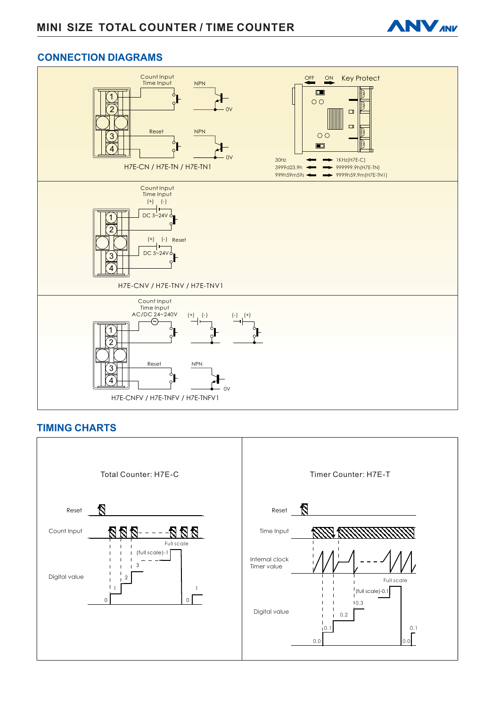

### **CONNECTION DIAGRAMS**



### **TIMING CHARTS**